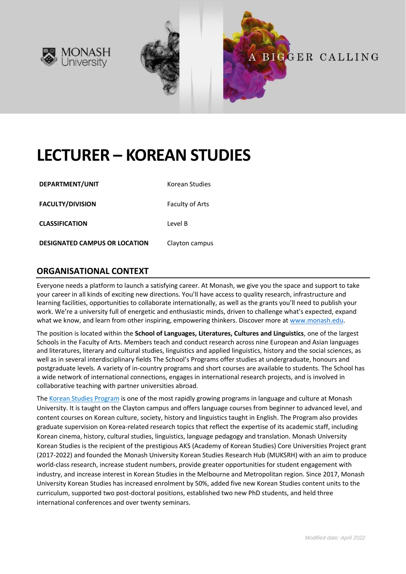



# **LECTURER – KOREAN STUDIES**

| DEPARTMENT/UNIT |  |
|-----------------|--|
|                 |  |

**Korean Studies** 

**FACULTY/DIVISION** Faculty of Arts

**CLASSIFICATION** Level B

**DESIGNATED CAMPUS OR LOCATION** Clayton campus

### **ORGANISATIONAL CONTEXT**

Everyone needs a platform to launch a satisfying career. At Monash, we give you the space and support to take your career in all kinds of exciting new directions. You'll have access to quality research, infrastructure and learning facilities, opportunities to collaborate internationally, as well as the grants you'll need to publish your work. We're a university full of energetic and enthusiastic minds, driven to challenge what's expected, expand what we know, and learn from other inspiring, empowering thinkers. Discover more a[t www.monash.edu.](http://www.monash.edu/)

The position is located within the **School of Languages, Literatures, Cultures and Linguistics**, one of the largest Schools in the Faculty of Arts. Members teach and conduct research across nine European and Asian languages and literatures, literary and cultural studies, linguistics and applied linguistics, history and the social sciences, as well as in several interdisciplinary fields The School's Programs offer studies at undergraduate, honours and postgraduate levels. A variety of in-country programs and short courses are available to students. The School has a wide network of international connections, engages in international research projects, and is involved in collaborative teaching with partner universities abroad.

The [Korean Studies Program](http://www.monash.edu/pubs/2019handbooks/aos/korean-studies/ug-arts-korean-studies.html) is one of the most rapidly growing programs in language and culture at Monash University. It is taught on the Clayton campus and offers language courses from beginner to advanced level, and content courses on Korean culture, society, history and linguistics taught in English. The Program also provides graduate supervision on Korea-related research topics that reflect the expertise of its academic staff, including Korean cinema, history, cultural studies, linguistics, language pedagogy and translation. Monash University Korean Studies is the recipient of the prestigious AKS (Academy of Korean Studies) Core Universities Project grant (2017-2022) and founded the Monash University Korean Studies Research Hub (MUKSRH) with an aim to produce world-class research, increase student numbers, provide greater opportunities for student engagement with industry, and increase interest in Korean Studies in the Melbourne and Metropolitan region. Since 2017, Monash University Korean Studies has increased enrolment by 50%, added five new Korean Studies content units to the curriculum, supported two post-doctoral positions, established two new PhD students, and held three international conferences and over twenty seminars.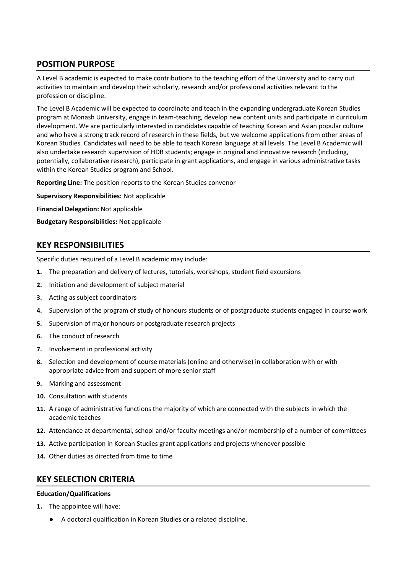## **POSITION PURPOSE**

A Level B academic is expected to make contributions to the teaching effort of the University and to carry out activities to maintain and develop their scholarly, research and/or professional activities relevant to the profession or discipline.

The Level B Academic will be expected to coordinate and teach in the expanding undergraduate Korean Studies program at Monash University, engage in team-teaching, develop new content units and participate in curriculum development. We are particularly interested in candidates capable of teaching Korean and Asian popular culture and who have a strong track record of research in these fields, but we welcome applications from other areas of Korean Studies. Candidates will need to be able to teach Korean language at all levels. The Level B Academic will also undertake research supervision of HDR students; engage in original and innovative research (including, potentially, collaborative research), participate in grant applications, and engage in various administrative tasks within the Korean Studies program and School.

**Reporting Line:** The position reports to the Korean Studies convenor

**Supervisory Responsibilities:** Not applicable

**Financial Delegation:** Not applicable

**Budgetary Responsibilities:** Not applicable

## **KEY RESPONSIBILITIES**

Specific duties required of a Level B academic may include:

- **1.** The preparation and delivery of lectures, tutorials, workshops, student field excursions
- **2.** Initiation and development of subject material
- **3.** Acting as subject coordinators
- **4.** Supervision of the program of study of honours students or of postgraduate students engaged in course work
- **5.** Supervision of major honours or postgraduate research projects
- **6.** The conduct of research
- **7.** Involvement in professional activity
- **8.** Selection and development of course materials (online and otherwise) in collaboration with or with appropriate advice from and support of more senior staff
- **9.** Marking and assessment
- **10.** Consultation with students
- **11.** A range of administrative functions the majority of which are connected with the subjects in which the academic teaches
- **12.** Attendance at departmental, school and/or faculty meetings and/or membership of a number of committees
- **13.** Active participation in Korean Studies grant applications and projects whenever possible
- **14.** Other duties as directed from time to time

### **KEY SELECTION CRITERIA**

#### **Education/Qualifications**

- **1.** The appointee will have:
	- A doctoral qualification in Korean Studies or a related discipline.